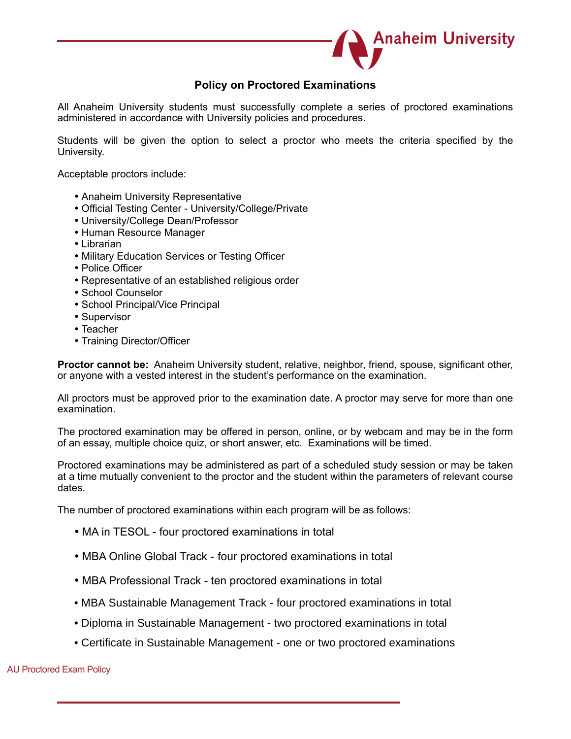

# **Policy on Proctored Examinations**

All Anaheim University students must successfully complete a series of proctored examinations administered in accordance with University policies and procedures.

Students will be given the option to select a proctor who meets the criteria specified by the University.

Acceptable proctors include:

- Anaheim University Representative
- Official Testing Center University/College/Private
- University/College Dean/Professor
- Human Resource Manager
- Librarian
- Military Education Services or Testing Officer
- Police Officer
- Representative of an established religious order
- School Counselor
- School Principal/Vice Principal
- Supervisor
- Teacher
- Training Director/Officer

**Proctor cannot be:** Anaheim University student, relative, neighbor, friend, spouse, significant other, or anyone with a vested interest in the student's performance on the examination.

All proctors must be approved prior to the examination date. A proctor may serve for more than one examination.

The proctored examination may be offered in person, online, or by webcam and may be in the form of an essay, multiple choice quiz, or short answer, etc. Examinations will be timed.

Proctored examinations may be administered as part of a scheduled study session or may be taken at a time mutually convenient to the proctor and the student within the parameters of relevant course dates.

The number of proctored examinations within each program will be as follows:

- MA in TESOL four proctored examinations in total
- MBA Online Global Track four proctored examinations in total
- MBA Professional Track ten proctored examinations in total
- MBA Sustainable Management Track four proctored examinations in total
- Diploma in Sustainable Management two proctored examinations in total
- Certificate in Sustainable Management one or two proctored examinations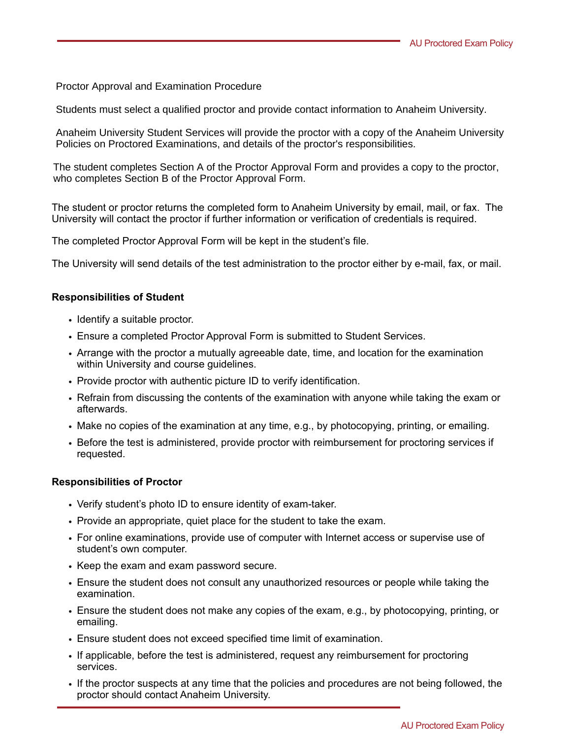Proctor Approval and Examination Procedure

Students must select a qualified proctor and provide contact information to Anaheim University.

Anaheim University Student Services will provide the proctor with a copy of the Anaheim University Policies on Proctored Examinations, and details of the proctor's responsibilities.

 The student completes Section A of the Proctor Approval Form and provides a copy to the proctor, who completes Section B of the Proctor Approval Form.

The student or proctor returns the completed form to Anaheim University by email, mail, or fax. The University will contact the proctor if further information or verification of credentials is required.

The completed Proctor Approval Form will be kept in the student's file.

The University will send details of the test administration to the proctor either by e-mail, fax, or mail.

#### **Responsibilities of Student**

- Identify a suitable proctor.
- Ensure a completed Proctor Approval Form is submitted to Student Services.
- Arrange with the proctor a mutually agreeable date, time, and location for the examination within University and course guidelines.
- Provide proctor with authentic picture ID to verify identification.
- Refrain from discussing the contents of the examination with anyone while taking the exam or afterwards.
- Make no copies of the examination at any time, e.g., by photocopying, printing, or emailing.
- Before the test is administered, provide proctor with reimbursement for proctoring services if requested.

#### **Responsibilities of Proctor**

- Verify student's photo ID to ensure identity of exam-taker.
- Provide an appropriate, quiet place for the student to take the exam.
- For online examinations, provide use of computer with Internet access or supervise use of student's own computer.
- Keep the exam and exam password secure.
- Ensure the student does not consult any unauthorized resources or people while taking the examination.
- Ensure the student does not make any copies of the exam, e.g., by photocopying, printing, or emailing.
- Ensure student does not exceed specified time limit of examination.
- If applicable, before the test is administered, request any reimbursement for proctoring services.
- If the proctor suspects at any time that the policies and procedures are not being followed, the proctor should contact Anaheim University.